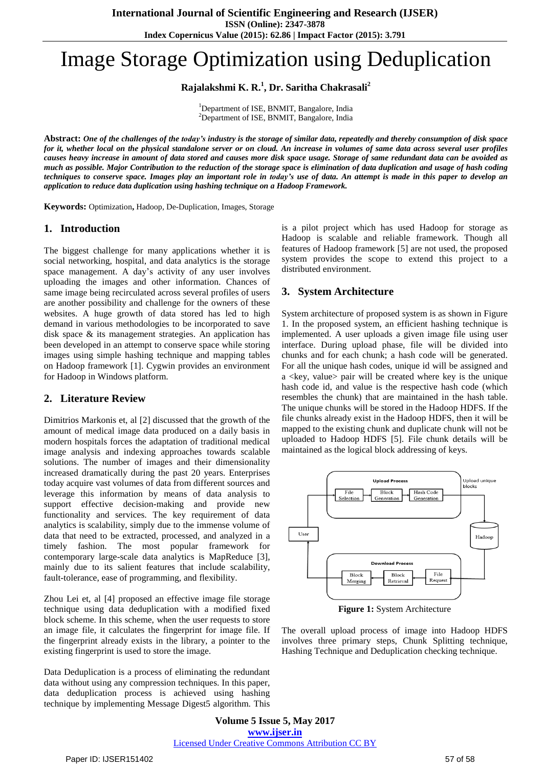# Image Storage Optimization using Deduplication

**Rajalakshmi K. R. 1 , Dr. Saritha Chakrasali<sup>2</sup>**

<sup>1</sup>Department of ISE, BNMIT, Bangalore, India <sup>2</sup>Department of ISE, BNMIT, Bangalore, India

Abstract: One of the challenges of the today's industry is the storage of similar data, repeatedly and thereby consumption of disk space for it, whether local on the physical standalone server or on cloud. An increase in volumes of same data across several user profiles causes heavy increase in amount of data stored and causes more disk space usage. Storage of same redundant data can be avoided as much as possible. Major Contribution to the reduction of the storage space is elimination of data duplication and usage of hash coding techniques to conserve space. Images play an important role in today's use of data. An attempt is made in this paper to develop an *application to reduce data duplication using hashing technique on a Hadoop Framework.*

**Keywords:** Optimization**,** Hadoop, De-Duplication, Images, Storage

# **1. Introduction**

The biggest challenge for many applications whether it is social networking, hospital, and data analytics is the storage space management. A day's activity of any user involves uploading the images and other information. Chances of same image being recirculated across several profiles of users are another possibility and challenge for the owners of these websites. A huge growth of data stored has led to high demand in various methodologies to be incorporated to save disk space & its management strategies. An application has been developed in an attempt to conserve space while storing images using simple hashing technique and mapping tables on Hadoop framework [1]. Cygwin provides an environment for Hadoop in Windows platform.

# **2. Literature Review**

Dimitrios Markonis et, al [2] discussed that the growth of the amount of medical image data produced on a daily basis in modern hospitals forces the adaptation of traditional medical image analysis and indexing approaches towards scalable solutions. The number of images and their dimensionality increased dramatically during the past 20 years. Enterprises today acquire vast volumes of data from different sources and leverage this information by means of data analysis to support effective decision-making and provide new functionality and services. The key requirement of data analytics is scalability, simply due to the immense volume of data that need to be extracted, processed, and analyzed in a timely fashion. The most popular framework for contemporary large-scale data analytics is MapReduce [3], mainly due to its salient features that include scalability, fault-tolerance, ease of programming, and flexibility.

Zhou Lei et, al [4] proposed an effective image file storage technique using data deduplication with a modified fixed block scheme. In this scheme, when the user requests to store an image file, it calculates the fingerprint for image file. If the fingerprint already exists in the library, a pointer to the existing fingerprint is used to store the image.

Data Deduplication is a process of eliminating the redundant data without using any compression techniques. In this paper, data deduplication process is achieved using hashing technique by implementing Message Digest5 algorithm. This is a pilot project which has used Hadoop for storage as Hadoop is scalable and reliable framework. Though all features of Hadoop framework [5] are not used, the proposed system provides the scope to extend this project to a distributed environment.

# **3. System Architecture**

System architecture of proposed system is as shown in Figure 1. In the proposed system, an efficient hashing technique is implemented. A user uploads a given image file using user interface. During upload phase, file will be divided into chunks and for each chunk; a hash code will be generated. For all the unique hash codes, unique id will be assigned and  $a \ll$ key, value pair will be created where key is the unique hash code id, and value is the respective hash code (which resembles the chunk) that are maintained in the hash table. The unique chunks will be stored in the Hadoop HDFS. If the file chunks already exist in the Hadoop HDFS, then it will be mapped to the existing chunk and duplicate chunk will not be uploaded to Hadoop HDFS [5]. File chunk details will be maintained as the logical block addressing of keys.



**Figure 1:** System Architecture

The overall upload process of image into Hadoop HDFS involves three primary steps, Chunk Splitting technique, Hashing Technique and Deduplication checking technique.

**Volume 5 Issue 5, May 2017 www.ijser.in** Licensed Under Creative Commons Attribution CC BY